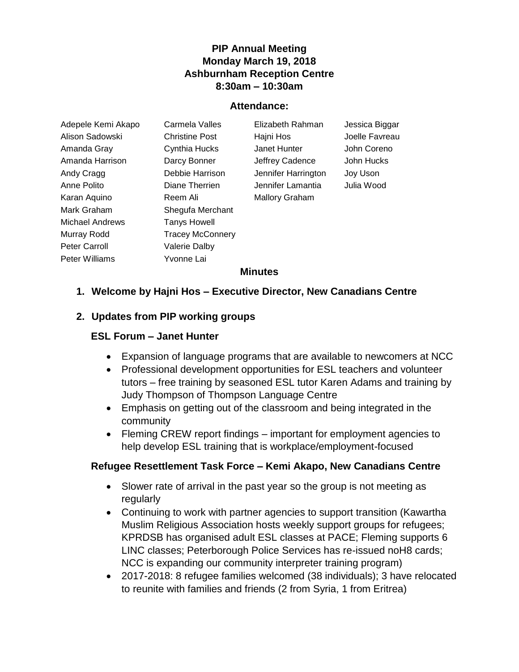## **PIP Annual Meeting Monday March 19, 2018 Ashburnham Reception Centre 8:30am – 10:30am**

#### **Attendance:**

| Adepele Kemi Akapo     | Carmela Valles          | Elizabeth Rahman      | Jessica Biggar |
|------------------------|-------------------------|-----------------------|----------------|
| Alison Sadowski        | <b>Christine Post</b>   | Hajni Hos             | Joelle Favreau |
| Amanda Gray            | Cynthia Hucks           | Janet Hunter          | John Coreno    |
| Amanda Harrison        | Darcy Bonner            | Jeffrey Cadence       | John Hucks     |
| Andy Cragg             | Debbie Harrison         | Jennifer Harrington   | Joy Uson       |
| Anne Polito            | Diane Therrien          | Jennifer Lamantia     | Julia Wood     |
| Karan Aquino           | Reem Ali                | <b>Mallory Graham</b> |                |
| Mark Graham            | Shegufa Merchant        |                       |                |
| <b>Michael Andrews</b> | Tanys Howell            |                       |                |
| Murray Rodd            | <b>Tracey McConnery</b> |                       |                |
| <b>Peter Carroll</b>   | <b>Valerie Dalby</b>    |                       |                |
| Peter Williams         | Yvonne Lai              |                       |                |

#### **Minutes**

### **1. Welcome by Hajni Hos – Executive Director, New Canadians Centre**

#### **2. Updates from PIP working groups**

### **ESL Forum – Janet Hunter**

- Expansion of language programs that are available to newcomers at NCC
- Professional development opportunities for ESL teachers and volunteer tutors – free training by seasoned ESL tutor Karen Adams and training by Judy Thompson of Thompson Language Centre
- Emphasis on getting out of the classroom and being integrated in the community
- Fleming CREW report findings important for employment agencies to help develop ESL training that is workplace/employment-focused

#### **Refugee Resettlement Task Force – Kemi Akapo, New Canadians Centre**

- Slower rate of arrival in the past year so the group is not meeting as regularly
- Continuing to work with partner agencies to support transition (Kawartha Muslim Religious Association hosts weekly support groups for refugees; KPRDSB has organised adult ESL classes at PACE; Fleming supports 6 LINC classes; Peterborough Police Services has re-issued noH8 cards; NCC is expanding our community interpreter training program)
- 2017-2018: 8 refugee families welcomed (38 individuals); 3 have relocated to reunite with families and friends (2 from Syria, 1 from Eritrea)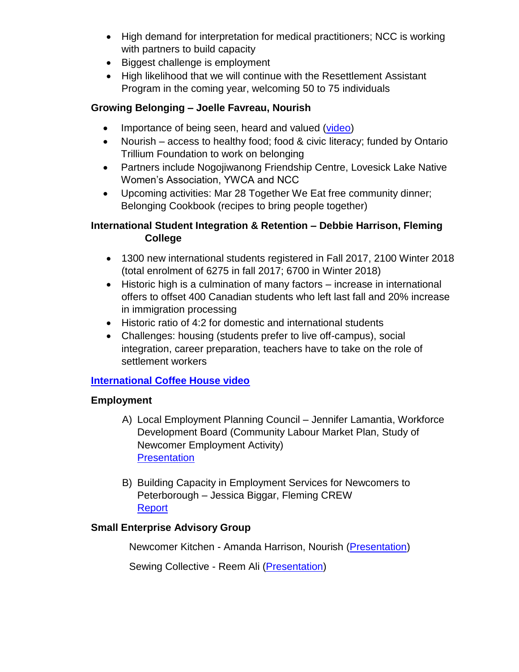- High demand for interpretation for medical practitioners; NCC is working with partners to build capacity
- Biggest challenge is employment
- High likelihood that we will continue with the Resettlement Assistant Program in the coming year, welcoming 50 to 75 individuals

## **Growing Belonging – Joelle Favreau, Nourish**

- Importance of being seen, heard and valued [\(video\)](https://youtu.be/ydQQVUswzc8)
- Nourish access to healthy food; food & civic literacy; funded by Ontario Trillium Foundation to work on belonging
- Partners include Nogojiwanong Friendship Centre, Lovesick Lake Native Women's Association, YWCA and NCC
- Upcoming activities: Mar 28 Together We Eat free community dinner; Belonging Cookbook (recipes to bring people together)

## **International Student Integration & Retention – Debbie Harrison, Fleming College**

- 1300 new international students registered in Fall 2017, 2100 Winter 2018 (total enrolment of 6275 in fall 2017; 6700 in Winter 2018)
- Historic high is a culmination of many factors increase in international offers to offset 400 Canadian students who left last fall and 20% increase in immigration processing
- Historic ratio of 4:2 for domestic and international students
- Challenges: housing (students prefer to live off-campus), social integration, career preparation, teachers have to take on the role of settlement workers

# **[International Coffee House video](https://drive.google.com/file/d/1paaYho59bZrQT0hy2cBgzM7R1OQWLoq0/view)**

## **Employment**

- A) Local Employment Planning Council Jennifer Lamantia, Workforce Development Board (Community Labour Market Plan, Study of Newcomer Employment Activity) **[Presentation](http://nccpeterborough.ca/wp-content/uploads/2018/04/jennifer_l.pptx)**
- B) Building Capacity in Employment Services for Newcomers to Peterborough – Jessica Biggar, Fleming CREW [Report](http://flemingcrew.ca/wp-content/uploads/2018/04/employmentservicesfornewcomersfeb2018.pdf)

## **Small Enterprise Advisory Group**

Newcomer Kitchen - Amanda Harrison, Nourish [\(Presentation\)](http://nccpeterborough.ca/wp-content/uploads/2018/04/Amanda-Harrison.pptx)

Sewing Collective - Reem Ali [\(Presentation\)](https://www.google.com/url?q=http://prezi.com/gjtb4dzm0olg/?utm_campaign%3Dshare%26utm_medium%3Dcopy&sa=D&source=hangouts&ust=1524583900673000&usg=AFQjCNEr8HIcZGh6ZTONPZE3XO-LtDYztA)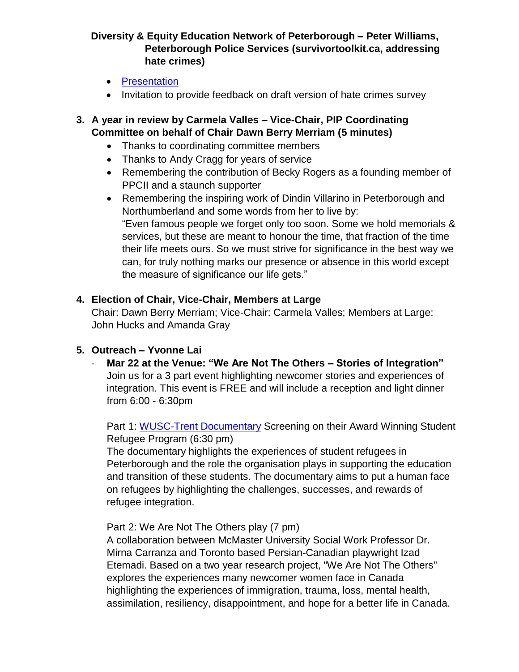## **Diversity & Equity Education Network of Peterborough – Peter Williams, Peterborough Police Services (survivortoolkit.ca, addressing hate crimes)**

- [Presentation](http://nccpeterborough.ca/wp-content/uploads/2018/04/Diversity-Equity-Education-Peterborough.pptx)
- Invitation to provide feedback on draft version of hate crimes survey

## **3. A year in review by Carmela Valles – Vice-Chair, PIP Coordinating Committee on behalf of Chair Dawn Berry Merriam (5 minutes)**

- Thanks to coordinating committee members
- Thanks to Andy Cragg for years of service
- Remembering the contribution of Becky Rogers as a founding member of PPCII and a staunch supporter
- Remembering the inspiring work of Dindin Villarino in Peterborough and Northumberland and some words from her to live by: "Even famous people we forget only too soon. Some we hold memorials & services, but these are meant to honour the time, that fraction of the time their life meets ours. So we must strive for significance in the best way we can, for truly nothing marks our presence or absence in this world except the measure of significance our life gets."

## **4. Election of Chair, Vice-Chair, Members at Large**

Chair: Dawn Berry Merriam; Vice-Chair: Carmela Valles; Members at Large: John Hucks and Amanda Gray

## **5. Outreach – Yvonne Lai**

- **Mar 22 at the Venue: "We Are Not The Others – Stories of Integration"** Join us for a 3 part event highlighting newcomer stories and experiences of integration. This event is FREE and will include a reception and light dinner from 6:00 - 6:30pm

Part 1: [WUSC-Trent Documentary](https://vimeo.com/252932317/91b8190393) Screening on their Award Winning Student Refugee Program (6:30 pm)

The documentary highlights the experiences of student refugees in Peterborough and the role the organisation plays in supporting the education and transition of these students. The documentary aims to put a human face on refugees by highlighting the challenges, successes, and rewards of refugee integration.

Part 2: We Are Not The Others play (7 pm)

A collaboration between McMaster University Social Work Professor Dr. Mirna Carranza and Toronto based Persian-Canadian playwright Izad Etemadi. Based on a two year research project, "We Are Not The Others" explores the experiences many newcomer women face in Canada highlighting the experiences of immigration, trauma, loss, mental health, assimilation, resiliency, disappointment, and hope for a better life in Canada.